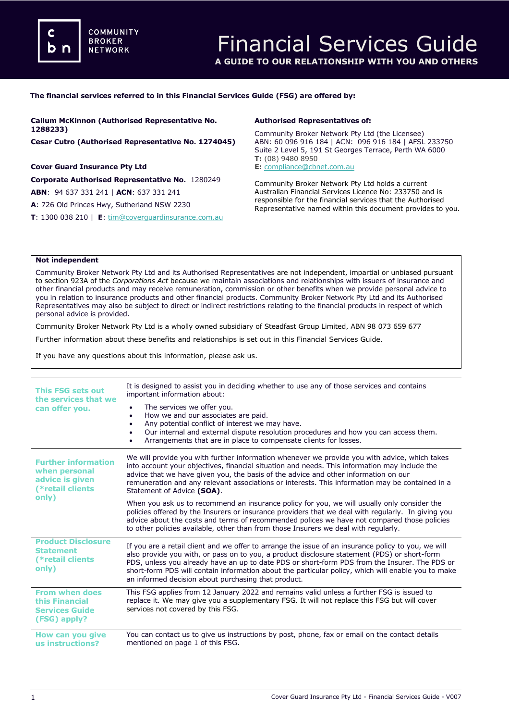**COMMUNITY BROKER NETWORK** 

#### **The financial services referred to in this Financial Services Guide (FSG) are offered by:**

| <b>Callum McKinnon (Authorised Representative No.</b>          | <b>Authorised Representatives of:</b>                                                                                                                                               |  |
|----------------------------------------------------------------|-------------------------------------------------------------------------------------------------------------------------------------------------------------------------------------|--|
| 1288233)                                                       | Community Broker Network Pty Ltd (the Licensee)                                                                                                                                     |  |
| Cesar Cutro (Authorised Representative No. 1274045)            | ABN: 60 096 916 184   ACN: 096 916 184   AFSL 233750<br>Suite 2 Level 5, 191 St Georges Terrace, Perth WA 6000<br>$T: (08)$ 9480 8950                                               |  |
| <b>Cover Guard Insurance Pty Ltd</b>                           | E: compliance@cbnet.com.au                                                                                                                                                          |  |
| Corporate Authorised Representative No. 1280249                | Community Broker Network Pty Ltd holds a current                                                                                                                                    |  |
| <b>ABN: 94 637 331 241   ACN: 637 331 241</b>                  | Australian Financial Services Licence No: 233750 and is<br>responsible for the financial services that the Authorised<br>Representative named within this document provides to you. |  |
| A: 726 Old Princes Hwy, Sutherland NSW 2230                    |                                                                                                                                                                                     |  |
| <b>T</b> : 1300 038 210   $E$ : tim@coverguardinsurance.com.au |                                                                                                                                                                                     |  |

### **Not independent**

Community Broker Network Pty Ltd and its Authorised Representatives are not independent, impartial or unbiased pursuant to section 923A of the *Corporations Act* because we maintain associations and relationships with issuers of insurance and other financial products and may receive remuneration, commission or other benefits when we provide personal advice to you in relation to insurance products and other financial products. Community Broker Network Pty Ltd and its Authorised Representatives may also be subject to direct or indirect restrictions relating to the financial products in respect of which personal advice is provided.

Community Broker Network Pty Ltd is a wholly owned subsidiary of Steadfast Group Limited, ABN 98 073 659 677

Further information about these benefits and relationships is set out in this Financial Services Guide.

If you have any questions about this information, please ask us.

| This FSG sets out<br>the services that we<br>can offer you.                                 | It is designed to assist you in deciding whether to use any of those services and contains<br>important information about:<br>The services we offer you.<br>How we and our associates are paid.<br>٠<br>Any potential conflict of interest we may have.<br>٠<br>Our internal and external dispute resolution procedures and how you can access them.<br>Arrangements that are in place to compensate clients for losses.                                          |
|---------------------------------------------------------------------------------------------|-------------------------------------------------------------------------------------------------------------------------------------------------------------------------------------------------------------------------------------------------------------------------------------------------------------------------------------------------------------------------------------------------------------------------------------------------------------------|
| <b>Further information</b><br>when personal<br>advice is given<br>(*retail clients<br>only) | We will provide you with further information whenever we provide you with advice, which takes<br>into account your objectives, financial situation and needs. This information may include the<br>advice that we have given you, the basis of the advice and other information on our<br>remuneration and any relevant associations or interests. This information may be contained in a<br>Statement of Advice (SOA).                                            |
|                                                                                             | When you ask us to recommend an insurance policy for you, we will usually only consider the<br>policies offered by the Insurers or insurance providers that we deal with regularly. In giving you<br>advice about the costs and terms of recommended polices we have not compared those policies<br>to other policies available, other than from those Insurers we deal with regularly.                                                                           |
| <b>Product Disclosure</b><br><b>Statement</b><br>(*retail clients<br>only)                  | If you are a retail client and we offer to arrange the issue of an insurance policy to you, we will<br>also provide you with, or pass on to you, a product disclosure statement (PDS) or short-form<br>PDS, unless you already have an up to date PDS or short-form PDS from the Insurer. The PDS or<br>short-form PDS will contain information about the particular policy, which will enable you to make<br>an informed decision about purchasing that product. |
| <b>From when does</b><br>this Financial<br><b>Services Guide</b><br>(FSG) apply?            | This FSG applies from 12 January 2022 and remains valid unless a further FSG is issued to<br>replace it. We may give you a supplementary FSG. It will not replace this FSG but will cover<br>services not covered by this FSG.                                                                                                                                                                                                                                    |
| How can you give<br>us instructions?                                                        | You can contact us to give us instructions by post, phone, fax or email on the contact details<br>mentioned on page 1 of this FSG.                                                                                                                                                                                                                                                                                                                                |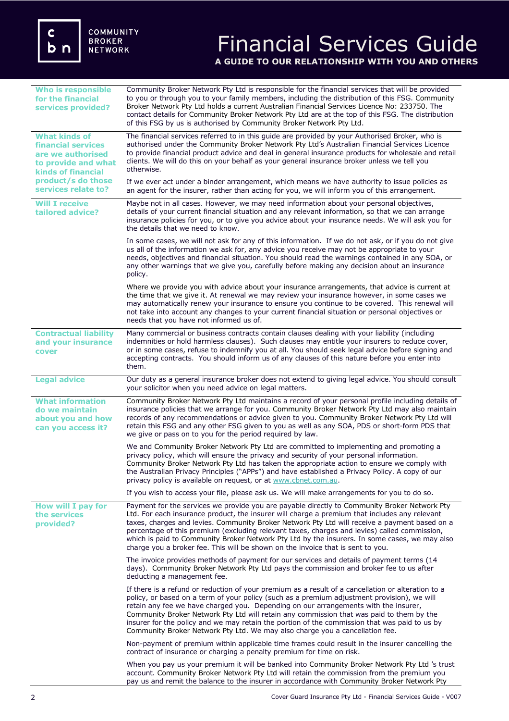# Financial Services Guide **A GUIDE TO OUR RELATIONSHIP WITH YOU AND OTHERS**

| <b>Who is responsible</b><br>for the financial<br>services provided?                                                                                                    | Community Broker Network Pty Ltd is responsible for the financial services that will be provided<br>to you or through you to your family members, including the distribution of this FSG. Community<br>Broker Network Pty Ltd holds a current Australian Financial Services Licence No: 233750. The<br>contact details for Community Broker Network Pty Ltd are at the top of this FSG. The distribution<br>of this FSG by us is authorised by Community Broker Network Pty Ltd.                                                                                                   |
|-------------------------------------------------------------------------------------------------------------------------------------------------------------------------|------------------------------------------------------------------------------------------------------------------------------------------------------------------------------------------------------------------------------------------------------------------------------------------------------------------------------------------------------------------------------------------------------------------------------------------------------------------------------------------------------------------------------------------------------------------------------------|
| <b>What kinds of</b><br><b>financial services</b><br>are we authorised<br>to provide and what<br><b>kinds of financial</b><br>product/s do those<br>services relate to? | The financial services referred to in this guide are provided by your Authorised Broker, who is<br>authorised under the Community Broker Network Pty Ltd's Australian Financial Services Licence<br>to provide financial product advice and deal in general insurance products for wholesale and retail<br>clients. We will do this on your behalf as your general insurance broker unless we tell you<br>otherwise.                                                                                                                                                               |
|                                                                                                                                                                         | If we ever act under a binder arrangement, which means we have authority to issue policies as<br>an agent for the insurer, rather than acting for you, we will inform you of this arrangement.                                                                                                                                                                                                                                                                                                                                                                                     |
| <b>Will I receive</b><br>tailored advice?                                                                                                                               | Maybe not in all cases. However, we may need information about your personal objectives,<br>details of your current financial situation and any relevant information, so that we can arrange<br>insurance policies for you, or to give you advice about your insurance needs. We will ask you for<br>the details that we need to know.                                                                                                                                                                                                                                             |
|                                                                                                                                                                         | In some cases, we will not ask for any of this information. If we do not ask, or if you do not give<br>us all of the information we ask for, any advice you receive may not be appropriate to your<br>needs, objectives and financial situation. You should read the warnings contained in any SOA, or<br>any other warnings that we give you, carefully before making any decision about an insurance<br>policy.                                                                                                                                                                  |
|                                                                                                                                                                         | Where we provide you with advice about your insurance arrangements, that advice is current at<br>the time that we give it. At renewal we may review your insurance however, in some cases we<br>may automatically renew your insurance to ensure you continue to be covered. This renewal will<br>not take into account any changes to your current financial situation or personal objectives or<br>needs that you have not informed us of.                                                                                                                                       |
| <b>Contractual liability</b><br>and your insurance<br>cover                                                                                                             | Many commercial or business contracts contain clauses dealing with your liability (including<br>indemnities or hold harmless clauses). Such clauses may entitle your insurers to reduce cover,<br>or in some cases, refuse to indemnify you at all. You should seek legal advice before signing and<br>accepting contracts. You should inform us of any clauses of this nature before you enter into<br>them.                                                                                                                                                                      |
| <b>Legal advice</b>                                                                                                                                                     | Our duty as a general insurance broker does not extend to giving legal advice. You should consult<br>your solicitor when you need advice on legal matters.                                                                                                                                                                                                                                                                                                                                                                                                                         |
| <b>What information</b><br>do we maintain<br>about you and how<br>can you access it?                                                                                    | Community Broker Network Pty Ltd maintains a record of your personal profile including details of<br>insurance policies that we arrange for you. Community Broker Network Pty Ltd may also maintain<br>records of any recommendations or advice given to you. Community Broker Network Pty Ltd will<br>retain this FSG and any other FSG given to you as well as any SOA, PDS or short-form PDS that<br>we give or pass on to you for the period required by law.                                                                                                                  |
|                                                                                                                                                                         | We and Community Broker Network Pty Ltd are committed to implementing and promoting a<br>privacy policy, which will ensure the privacy and security of your personal information.<br>Community Broker Network Pty Ltd has taken the appropriate action to ensure we comply with<br>the Australian Privacy Principles ("APPs") and have established a Privacy Policy. A copy of our<br>privacy policy is available on request, or at www.cbnet.com.au.                                                                                                                              |
|                                                                                                                                                                         | If you wish to access your file, please ask us. We will make arrangements for you to do so.                                                                                                                                                                                                                                                                                                                                                                                                                                                                                        |
| How will I pay for<br>the services<br>provided?                                                                                                                         | Payment for the services we provide you are payable directly to Community Broker Network Pty<br>Ltd. For each insurance product, the insurer will charge a premium that includes any relevant<br>taxes, charges and levies. Community Broker Network Pty Ltd will receive a payment based on a<br>percentage of this premium (excluding relevant taxes, charges and levies) called commission,<br>which is paid to Community Broker Network Pty Ltd by the insurers. In some cases, we may also<br>charge you a broker fee. This will be shown on the invoice that is sent to you. |
|                                                                                                                                                                         | The invoice provides methods of payment for our services and details of payment terms (14<br>days). Community Broker Network Pty Ltd pays the commission and broker fee to us after<br>deducting a management fee.                                                                                                                                                                                                                                                                                                                                                                 |
|                                                                                                                                                                         | If there is a refund or reduction of your premium as a result of a cancellation or alteration to a<br>policy, or based on a term of your policy (such as a premium adjustment provision), we will<br>retain any fee we have charged you. Depending on our arrangements with the insurer,<br>Community Broker Network Pty Ltd will retain any commission that was paid to them by the<br>insurer for the policy and we may retain the portion of the commission that was paid to us by<br>Community Broker Network Pty Ltd. We may also charge you a cancellation fee.              |
|                                                                                                                                                                         | Non-payment of premium within applicable time frames could result in the insurer cancelling the<br>contract of insurance or charging a penalty premium for time on risk.                                                                                                                                                                                                                                                                                                                                                                                                           |
|                                                                                                                                                                         | When you pay us your premium it will be banked into Community Broker Network Pty Ltd 's trust<br>account. Community Broker Network Pty Ltd will retain the commission from the premium you<br>pay us and remit the balance to the insurer in accordance with Community Broker Network Pty                                                                                                                                                                                                                                                                                          |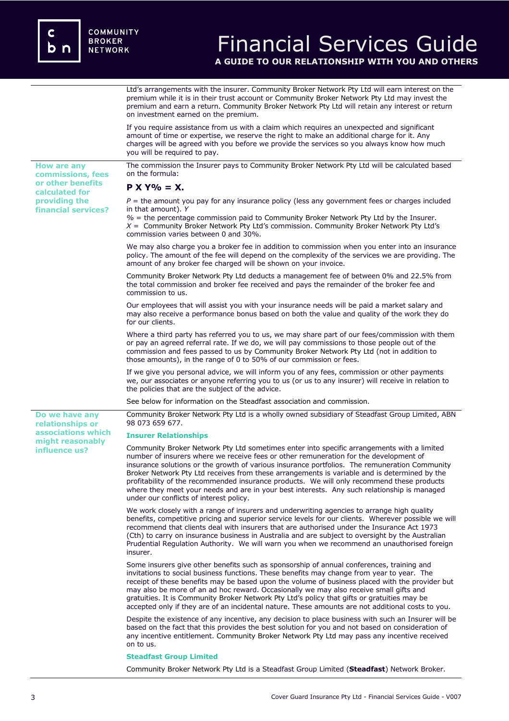**How are any commissions, fees or other benefits calculated for providing the financial services?**

**Do we have any relationships or associations which might reasonably influence us?** 

## Financial Services Guide **A GUIDE TO OUR RELATIONSHIP WITH YOU AND OTHERS**

Ltd's arrangements with the insurer. Community Broker Network Pty Ltd will earn interest on the premium while it is in their trust account or Community Broker Network Pty Ltd may invest the premium and earn a return. Community Broker Network Pty Ltd will retain any interest or return on investment earned on the premium.

If you require assistance from us with a claim which requires an unexpected and significant amount of time or expertise, we reserve the right to make an additional charge for it. Any charges will be agreed with you before we provide the services so you always know how much you will be required to pay.

The commission the Insurer pays to Community Broker Network Pty Ltd will be calculated based on the formula:

### **P X Y% = X.**

 $P =$  the amount you pay for any insurance policy (less any government fees or charges included in that amount). *Y*

*%* = the percentage commission paid to Community Broker Network Pty Ltd by the Insurer. *X* = Community Broker Network Pty Ltd's commission. Community Broker Network Pty Ltd's commission varies between 0 and 30%.

We may also charge you a broker fee in addition to commission when you enter into an insurance policy. The amount of the fee will depend on the complexity of the services we are providing. The amount of any broker fee charged will be shown on your invoice.

Community Broker Network Pty Ltd deducts a management fee of between 0% and 22.5% from the total commission and broker fee received and pays the remainder of the broker fee and commission to us.

Our employees that will assist you with your insurance needs will be paid a market salary and may also receive a performance bonus based on both the value and quality of the work they do for our clients.

Where a third party has referred you to us, we may share part of our fees/commission with them or pay an agreed referral rate. If we do, we will pay commissions to those people out of the commission and fees passed to us by Community Broker Network Pty Ltd (not in addition to those amounts), in the range of 0 to 50% of our commission or fees.

If we give you personal advice, we will inform you of any fees, commission or other payments we, our associates or anyone referring you to us (or us to any insurer) will receive in relation to the policies that are the subject of the advice.

See below for information on the Steadfast association and commission.

Community Broker Network Pty Ltd is a wholly owned subsidiary of Steadfast Group Limited, ABN 98 073 659 677.

#### **Insurer Relationships**

Community Broker Network Pty Ltd sometimes enter into specific arrangements with a limited number of insurers where we receive fees or other remuneration for the development of insurance solutions or the growth of various insurance portfolios. The remuneration Community Broker Network Pty Ltd receives from these arrangements is variable and is determined by the profitability of the recommended insurance products. We will only recommend these products where they meet your needs and are in your best interests. Any such relationship is managed under our conflicts of interest policy.

We work closely with a range of insurers and underwriting agencies to arrange high quality benefits, competitive pricing and superior service levels for our clients. Wherever possible we will recommend that clients deal with insurers that are authorised under the Insurance Act 1973 (Cth) to carry on insurance business in Australia and are subject to oversight by the Australian Prudential Regulation Authority. We will warn you when we recommend an unauthorised foreign insurer.

Some insurers give other benefits such as sponsorship of annual conferences, training and invitations to social business functions. These benefits may change from year to year. The receipt of these benefits may be based upon the volume of business placed with the provider but may also be more of an ad hoc reward. Occasionally we may also receive small gifts and gratuities. It is Community Broker Network Pty Ltd's policy that gifts or gratuities may be accepted only if they are of an incidental nature. These amounts are not additional costs to you.

Despite the existence of any incentive, any decision to place business with such an Insurer will be based on the fact that this provides the best solution for you and not based on consideration of any incentive entitlement. Community Broker Network Pty Ltd may pass any incentive received on to us.

#### **Steadfast Group Limited**

Community Broker Network Pty Ltd is a Steadfast Group Limited (**Steadfast**) Network Broker.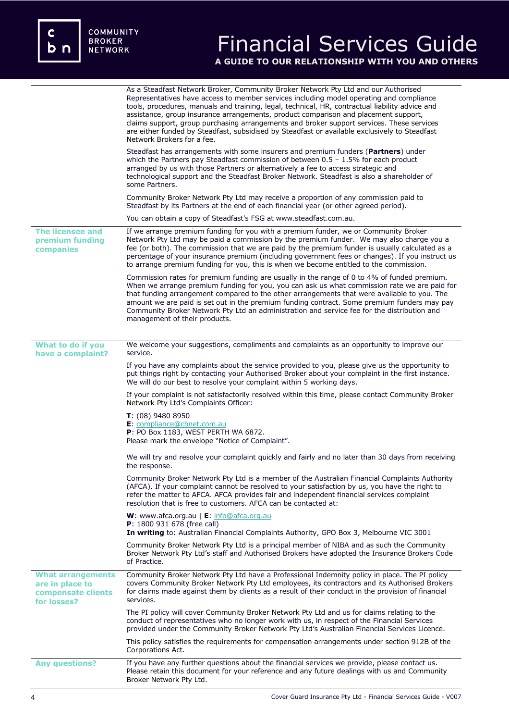c<br>b n

# Financial Services Guide **A GUIDE TO OUR RELATIONSHIP WITH YOU AND OTHERS**

|                                                                                  | As a Steadfast Network Broker, Community Broker Network Pty Ltd and our Authorised<br>Representatives have access to member services including model operating and compliance<br>tools, procedures, manuals and training, legal, technical, HR, contractual liability advice and<br>assistance, group insurance arrangements, product comparison and placement support,<br>claims support, group purchasing arrangements and broker support services. These services<br>are either funded by Steadfast, subsidised by Steadfast or available exclusively to Steadfast<br>Network Brokers for a fee. |
|----------------------------------------------------------------------------------|-----------------------------------------------------------------------------------------------------------------------------------------------------------------------------------------------------------------------------------------------------------------------------------------------------------------------------------------------------------------------------------------------------------------------------------------------------------------------------------------------------------------------------------------------------------------------------------------------------|
|                                                                                  | Steadfast has arrangements with some insurers and premium funders ( <b>Partners</b> ) under<br>which the Partners pay Steadfast commission of between $0.5 - 1.5\%$ for each product<br>arranged by us with those Partners or alternatively a fee to access strategic and<br>technological support and the Steadfast Broker Network. Steadfast is also a shareholder of<br>some Partners.                                                                                                                                                                                                           |
|                                                                                  | Community Broker Network Pty Ltd may receive a proportion of any commission paid to<br>Steadfast by its Partners at the end of each financial year (or other agreed period).                                                                                                                                                                                                                                                                                                                                                                                                                        |
|                                                                                  | You can obtain a copy of Steadfast's FSG at www.steadfast.com.au.                                                                                                                                                                                                                                                                                                                                                                                                                                                                                                                                   |
| <b>The licensee and</b><br>premium funding<br>companies                          | If we arrange premium funding for you with a premium funder, we or Community Broker<br>Network Pty Ltd may be paid a commission by the premium funder. We may also charge you a<br>fee (or both). The commission that we are paid by the premium funder is usually calculated as a<br>percentage of your insurance premium (including government fees or changes). If you instruct us<br>to arrange premium funding for you, this is when we become entitled to the commission.                                                                                                                     |
|                                                                                  | Commission rates for premium funding are usually in the range of 0 to 4% of funded premium.<br>When we arrange premium funding for you, you can ask us what commission rate we are paid for<br>that funding arrangement compared to the other arrangements that were available to you. The<br>amount we are paid is set out in the premium funding contract. Some premium funders may pay<br>Community Broker Network Pty Ltd an administration and service fee for the distribution and<br>management of their products.                                                                           |
| What to do if you                                                                | We welcome your suggestions, compliments and complaints as an opportunity to improve our                                                                                                                                                                                                                                                                                                                                                                                                                                                                                                            |
| have a complaint?                                                                | service.                                                                                                                                                                                                                                                                                                                                                                                                                                                                                                                                                                                            |
|                                                                                  | If you have any complaints about the service provided to you, please give us the opportunity to<br>put things right by contacting your Authorised Broker about your complaint in the first instance.<br>We will do our best to resolve your complaint within 5 working days.                                                                                                                                                                                                                                                                                                                        |
|                                                                                  | If your complaint is not satisfactorily resolved within this time, please contact Community Broker<br>Network Pty Ltd's Complaints Officer:                                                                                                                                                                                                                                                                                                                                                                                                                                                         |
|                                                                                  | $T: (08)$ 9480 8950<br>E: compliance@cbnet.com.au<br>P: PO Box 1183, WEST PERTH WA 6872.<br>Please mark the envelope "Notice of Complaint".                                                                                                                                                                                                                                                                                                                                                                                                                                                         |
|                                                                                  | We will try and resolve your complaint quickly and fairly and no later than 30 days from receiving<br>the response.                                                                                                                                                                                                                                                                                                                                                                                                                                                                                 |
|                                                                                  | Community Broker Network Pty Ltd is a member of the Australian Financial Complaints Authority<br>(AFCA). If your complaint cannot be resolved to your satisfaction by us, you have the right to<br>refer the matter to AFCA. AFCA provides fair and independent financial services complaint<br>resolution that is free to customers. AFCA can be contacted at:                                                                                                                                                                                                                                     |
|                                                                                  | <b>W</b> : www.afca.org.au $\mathsf{E}$ : info@afca.org.au<br>P: 1800 931 678 (free call)<br>In writing to: Australian Financial Complaints Authority, GPO Box 3, Melbourne VIC 3001                                                                                                                                                                                                                                                                                                                                                                                                                |
|                                                                                  | Community Broker Network Pty Ltd is a principal member of NIBA and as such the Community<br>Broker Network Pty Ltd's staff and Authorised Brokers have adopted the Insurance Brokers Code<br>of Practice.                                                                                                                                                                                                                                                                                                                                                                                           |
| <b>What arrangements</b><br>are in place to<br>compensate clients<br>for losses? | Community Broker Network Pty Ltd have a Professional Indemnity policy in place. The PI policy<br>covers Community Broker Network Pty Ltd employees, its contractors and its Authorised Brokers<br>for claims made against them by clients as a result of their conduct in the provision of financial<br>services.                                                                                                                                                                                                                                                                                   |
|                                                                                  | The PI policy will cover Community Broker Network Pty Ltd and us for claims relating to the<br>conduct of representatives who no longer work with us, in respect of the Financial Services<br>provided under the Community Broker Network Pty Ltd's Australian Financial Services Licence.                                                                                                                                                                                                                                                                                                          |
|                                                                                  | This policy satisfies the requirements for compensation arrangements under section 912B of the<br>Corporations Act.                                                                                                                                                                                                                                                                                                                                                                                                                                                                                 |
| <b>Any questions?</b>                                                            | If you have any further questions about the financial services we provide, please contact us.<br>Please retain this document for your reference and any future dealings with us and Community<br>Broker Network Pty Ltd.                                                                                                                                                                                                                                                                                                                                                                            |